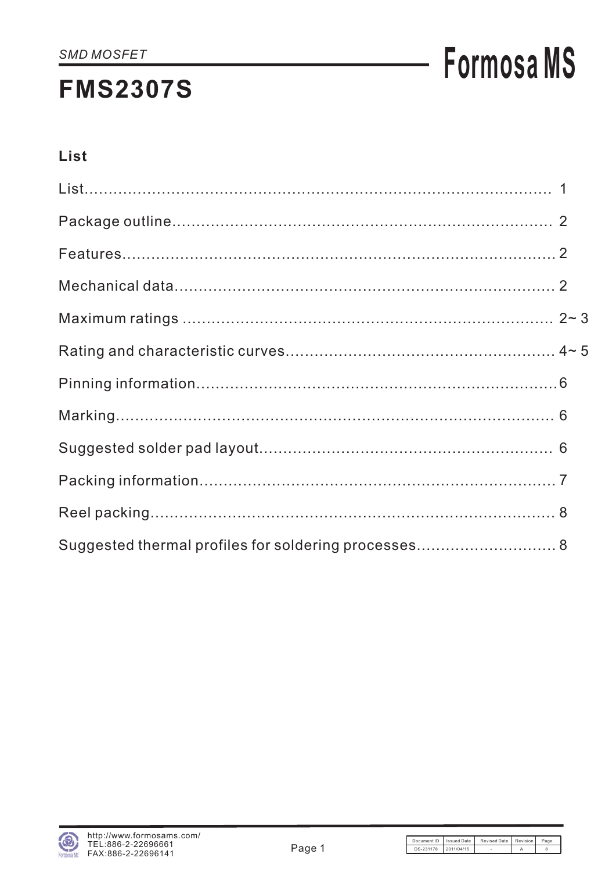## **Formosa MS**

### List

| Suggested thermal profiles for soldering processes 8 |  |
|------------------------------------------------------|--|

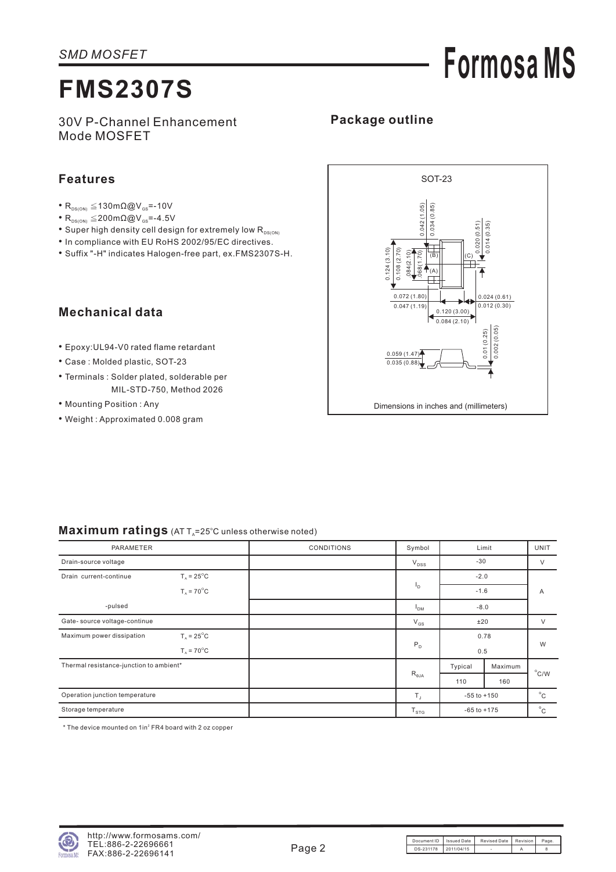## **Formosa MS**

30V P-Channel Enhancement Mode MOSFET

### **Package outline**

#### **Features**

- $R_{DS(ON)} \leq 130 \text{m}\Omega \textcircled{Q}V_{GS} = -10V$
- $R_{DS(ON)} \leq 200 \text{m}\Omega \textcircled{Q} V_{GS} = -4.5 V$
- $\bullet$  Super high density cell design for extremely low  $\mathsf{R}_{\texttt{\tiny{DS(ON}}}$
- In compliance with EU RoHS 2002/95/EC directives.
- Suffix "-H" indicates Halogen-free part, ex.FMS2307S-H.

Maximum ratings (AT T<sub>A</sub>=25°C unless otherwise noted)

### **Mechanical data**

- Epoxy:UL94-V0 rated flame retardant
- Case : Molded plastic, SOT-23
- Terminals : Solder plated, solderable per MIL-STD-750, Method 2026
- Mounting Position : Any
- Weight : Approximated 0.008 gram



| <b>PARAMETER</b>                                             | <b>CONDITIONS</b> | Limit<br>Symbol    |                 |         | UNIT           |  |
|--------------------------------------------------------------|-------------------|--------------------|-----------------|---------|----------------|--|
| Drain-source voltage                                         |                   | $V_{DSS}$          | $-30$           |         | $\vee$         |  |
| $T_{\text{A}}$ = 25 <sup>°</sup> C<br>Drain current-continue |                   |                    | $-2.0$          |         |                |  |
| $T_A = 70^{\circ}$ C                                         |                   | I <sub>D</sub>     | $-1.6$          |         | Α              |  |
| -pulsed                                                      |                   | $-8.0$<br>$I_{DM}$ |                 |         |                |  |
| Gate- source voltage-continue                                |                   | $V_{GS}$           | ±20             |         | $\vee$         |  |
| $T_a = 25^{\circ}$ C<br>Maximum power dissipation            |                   |                    | 0.78            |         | W              |  |
| $T_A = 70^{\circ}$ C                                         |                   | $P_D$              | 0.5             |         |                |  |
| Thermal resistance-junction to ambient*                      |                   |                    | Typical         | Maximum |                |  |
|                                                              |                   | $R_{\theta JA}$    | 110             | 160     | $^{\circ}$ C/W |  |
| Operation junction temperature                               |                   | $T_{\rm J}$        | $-55$ to $+150$ |         | $^{\circ}$ C   |  |
| Storage temperature                                          |                   | $T_{STG}$          | $-65$ to $+175$ |         | $^{\circ}$ C   |  |

 $*$  The device mounted on 1in $2$  FR4 board with 2 oz copper

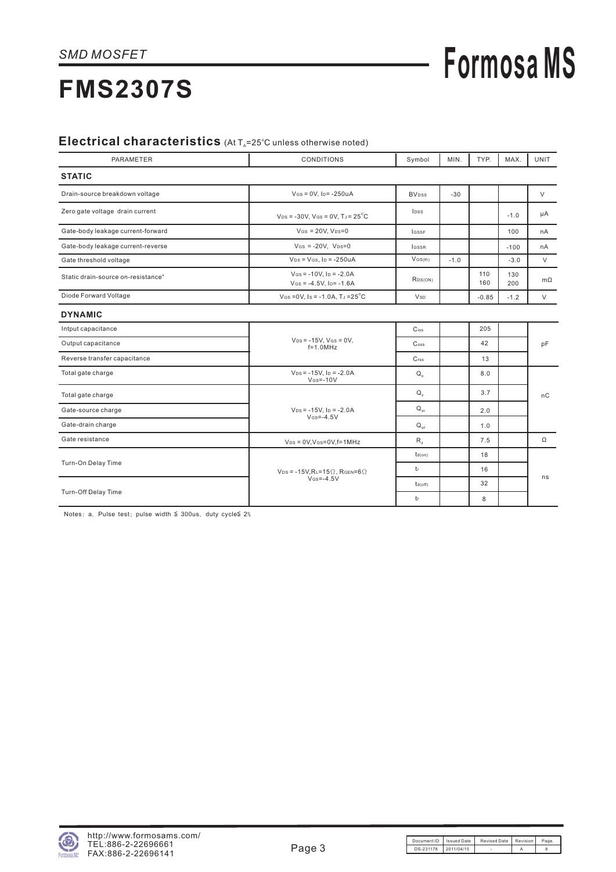# **Formosa MS**

## **FMS2307S**

### Electrical characteristics (At T<sub>A</sub>=25°C unless otherwise noted)

| <b>PARAMETER</b>                               | <b>CONDITIONS</b>                                                         | Symbol                   | MIN.   | TYP.       | MAX.       | <b>UNIT</b> |
|------------------------------------------------|---------------------------------------------------------------------------|--------------------------|--------|------------|------------|-------------|
| <b>STATIC</b>                                  |                                                                           |                          |        |            |            |             |
| Drain-source breakdown voltage                 | $V$ Gs = 0V, $I_D$ = -250uA                                               | <b>BV</b> <sub>DSS</sub> | $-30$  |            |            | V           |
| Zero gate voltage drain current                | $V_{DS}$ = -30V, V <sub>GS</sub> = 0V, T <sub>J</sub> = 25 <sup>°</sup> C | lpss                     |        |            | $-1.0$     | μA          |
| Gate-body leakage current-forward              | $V$ Gs = 20V, $V_{DS}=0$                                                  | <b>IGSSF</b>             |        |            | 100        | nA          |
| Gate-body leakage current-reverse              | $V$ Gs = -20V. $V$ Ds=0                                                   | <b>IGSSR</b>             |        |            | $-100$     | nA          |
| Gate threshold voltage                         | $V_{DS}$ = $V_{GS}$ , $I_D$ = -250uA                                      | $V$ GS(th)               | $-1.0$ |            | $-3.0$     | $\vee$      |
| Static drain-source on-resistance <sup>®</sup> | $V$ Gs = -10V, $I_D$ = -2.0A<br>$V$ Gs = -4.5V, Ip= $-1.6A$               | RDS(ON)                  |        | 110<br>160 | 130<br>200 | $m\Omega$   |
| Diode Forward Voltage                          | $V$ Gs = 0V, Is = -1.0A, TJ = $25^{\circ}$ C                              | <b>V</b> sp              |        | $-0.85$    | $-1.2$     | $\vee$      |
| <b>DYNAMIC</b>                                 |                                                                           |                          |        |            |            |             |
| Intput capacitance                             |                                                                           | $C$ <sub>iss</sub>       |        | 205        |            |             |
| Output capacitance                             | $V_{DS} = -15V$ , $V_{GS} = 0V$ ,<br>$f=1.0$ MHz                          | $\mathsf{C}$ oss         |        | 42         |            | pF          |
| Reverse transfer capacitance                   |                                                                           | C <sub>rss</sub>         |        | 13         |            |             |
| Total gate charge                              | $V_{DS} = -15V$ , $I_D = -2.0A$<br>$V$ <sub>GS</sub> $=$ -10 $V$          | $Q_{\alpha}$             |        | 8.0        |            |             |
| Total gate charge                              |                                                                           | $Q_{\alpha}$             |        | 3.7        |            | nC          |
| Gate-source charge                             | $V_{DS} = -15V$ . Ip = $-2.0A$<br>$V$ <sub>GS</sub> =-4.5V                | $Q_{qs}$                 |        | 2.0        |            |             |
| Gate-drain charge                              |                                                                           | $Q_{\text{ad}}$          |        | 1.0        |            |             |
| Gate resistance                                | $V_{DS} = 0V$ , $V_{GS} = 0V$ , $f = 1MHz$                                | $R_{\rm g}$              |        | 7.5        |            | $\Omega$    |
| Turn-On Delay Time                             |                                                                           | td(on)                   |        | 18         |            |             |
|                                                | $V_{DS} = -15V$ , RL=15 $\Omega$ , RGEN=6 $\Omega$                        | tr                       |        | 16         |            | ns          |
|                                                | $V$ <sub>GS</sub> $=$ -4.5V                                               | td(off)                  |        | 32         |            |             |
| Turn-Off Delay Time                            |                                                                           | tr                       |        | 8          |            |             |

Notes: a. Pulse test; pulse width  $\leq$  300us, duty cycle  $2\%$ 

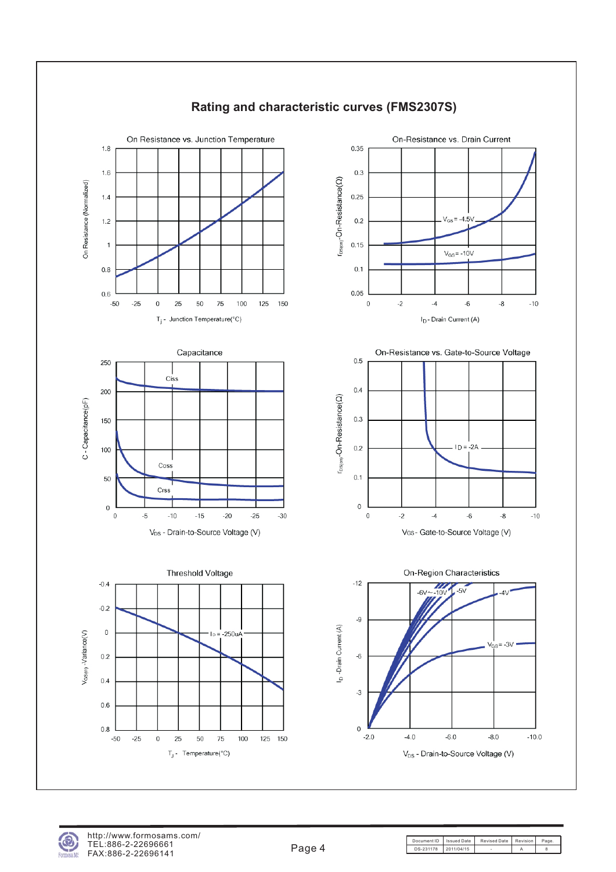

#### **Rating and characteristic curves (FMS2307S)**



Document ID | Issued Date | Revised Date | Revision | Page DS-231178 2011/04/15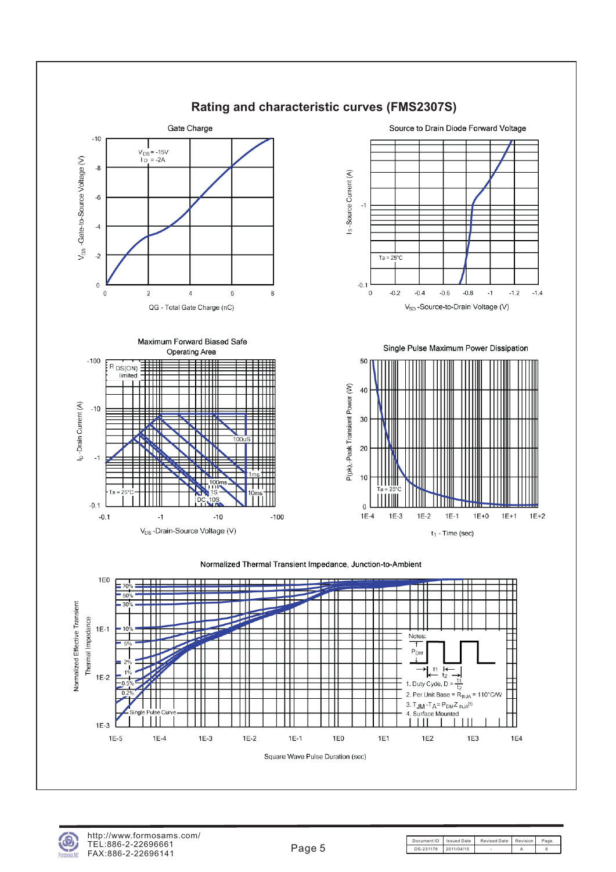

#### **Rating and characteristic curves (FMS2307S)**



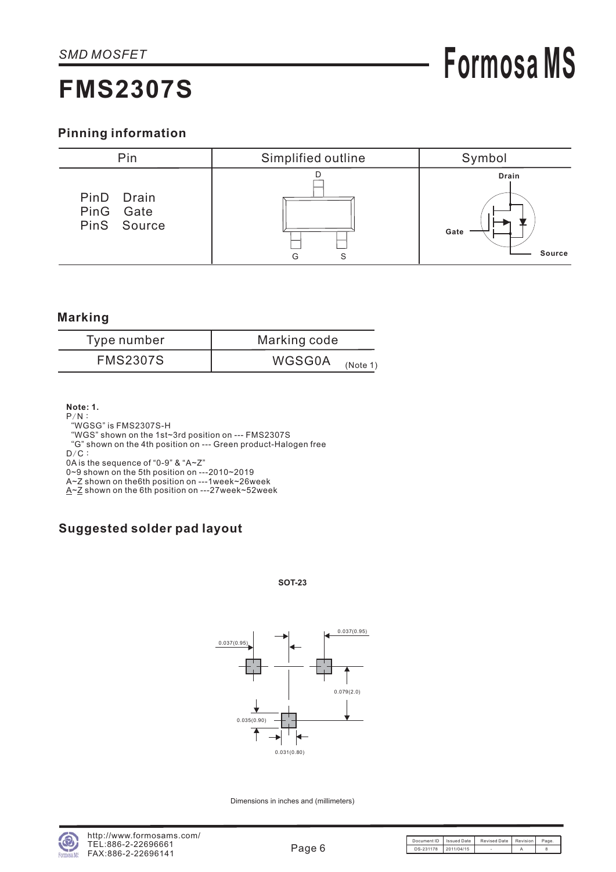#### **Pinning information**



#### **Marking**

| Type number     | Marking code              |
|-----------------|---------------------------|
| <b>FMS2307S</b> | <b>WGSG0A</b><br>(Note 1) |

**Note: 1.**

- $P/N$  :
- WGSG" is FMS2307S-H "

WGS" shown on the 1st~3rd position on --- FMS2307S "

G" shown on the 4th position on --- Green product-Halogen free "

 $D/C$  :

0A is the sequence of "0-9" & "A~Z"

0~9 shown on the 5th position on ---2010~2019

A~Z shown on the6th position on ---1week~26week

<u>A~Z</u> shown on the 6th position on ---27week~52week

### **Suggested solder pad layout**

#### **SOT-23**



Dimensions in inches and (millimeters)

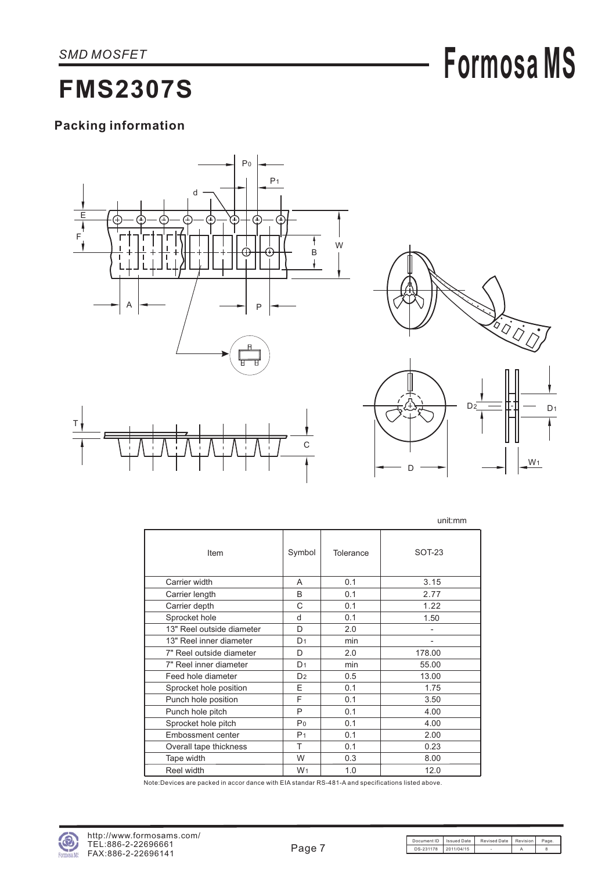## **Formosa MS**

### **FMS2307S**

### **Packing information**





W<sub>1</sub>

D

|                           |                |           | unit:mm                  |
|---------------------------|----------------|-----------|--------------------------|
| Item                      | Symbol         | Tolerance | SOT-23                   |
| Carrier width             | A              | 0.1       | 3.15                     |
| Carrier length            | B              | 0.1       | 2.77                     |
| Carrier depth             | C              | 0.1       | 1.22                     |
| Sprocket hole             | d              | 0.1       | 1.50                     |
| 13" Reel outside diameter | D              | 2.0       | $\overline{\phantom{a}}$ |
| 13" Reel inner diameter   | D <sub>1</sub> | min       | $\overline{a}$           |
| 7" Reel outside diameter  | D              | 2.0       | 178.00                   |
| 7" Reel inner diameter    | D <sub>1</sub> | min       | 55.00                    |
| Feed hole diameter        | D <sub>2</sub> | 0.5       | 13.00                    |
| Sprocket hole position    | E              | 0.1       | 1.75                     |
| Punch hole position       | F              | 0.1       | 3.50                     |
| Punch hole pitch          | P              | 0.1       | 4.00                     |
| Sprocket hole pitch       | Po             | 0.1       | 4.00                     |
| <b>Embossment center</b>  | P <sub>1</sub> | 0.1       | 2.00                     |
| Overall tape thickness    | т              | 0.1       | 0.23                     |
| Tape width                | W              | 0.3       | 8.00                     |
| Reel width                | W <sub>1</sub> | 1.0       | 12.0                     |

Note:Devices are packed in accor dance with EIA standar RS-481-A and specifications listed above.